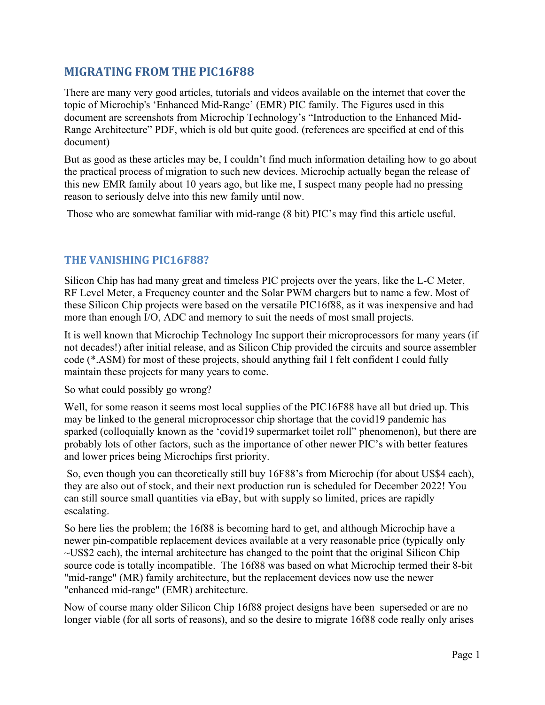#### **MIGRATING FROM THE PIC16F88**

There are many very good articles, tutorials and videos available on the internet that cover the topic of Microchip's 'Enhanced Mid-Range' (EMR) PIC family. The Figures used in this document are screenshots from Microchip Technology's "Introduction to the Enhanced Mid-Range Architecture" PDF, which is old but quite good. (references are specified at end of this document)

But as good as these articles may be, I couldn't find much information detailing how to go about the practical process of migration to such new devices. Microchip actually began the release of this new EMR family about 10 years ago, but like me, I suspect many people had no pressing reason to seriously delve into this new family until now.

Those who are somewhat familiar with mid-range (8 bit) PIC's may find this article useful.

#### **THE VANISHING PIC16F88?**

Silicon Chip has had many great and timeless PIC projects over the years, like the L-C Meter, RF Level Meter, a Frequency counter and the Solar PWM chargers but to name a few. Most of these Silicon Chip projects were based on the versatile PIC16f88, as it was inexpensive and had more than enough I/O, ADC and memory to suit the needs of most small projects.

It is well known that Microchip Technology Inc support their microprocessors for many years (if not decades!) after initial release, and as Silicon Chip provided the circuits and source assembler code (\*.ASM) for most of these projects, should anything fail I felt confident I could fully maintain these projects for many years to come.

So what could possibly go wrong?

Well, for some reason it seems most local supplies of the PIC16F88 have all but dried up. This may be linked to the general microprocessor chip shortage that the covid19 pandemic has sparked (colloquially known as the 'covid19 supermarket toilet roll" phenomenon), but there are probably lots of other factors, such as the importance of other newer PIC's with better features and lower prices being Microchips first priority.

 So, even though you can theoretically still buy 16F88's from Microchip (for about US\$4 each), they are also out of stock, and their next production run is scheduled for December 2022! You can still source small quantities via eBay, but with supply so limited, prices are rapidly escalating.

So here lies the problem; the 16f88 is becoming hard to get, and although Microchip have a newer pin-compatible replacement devices available at a very reasonable price (typically only ~US\$2 each), the internal architecture has changed to the point that the original Silicon Chip source code is totally incompatible. The 16f88 was based on what Microchip termed their 8-bit "mid-range" (MR) family architecture, but the replacement devices now use the newer "enhanced mid-range" (EMR) architecture.

Now of course many older Silicon Chip 16f88 project designs have been superseded or are no longer viable (for all sorts of reasons), and so the desire to migrate 16f88 code really only arises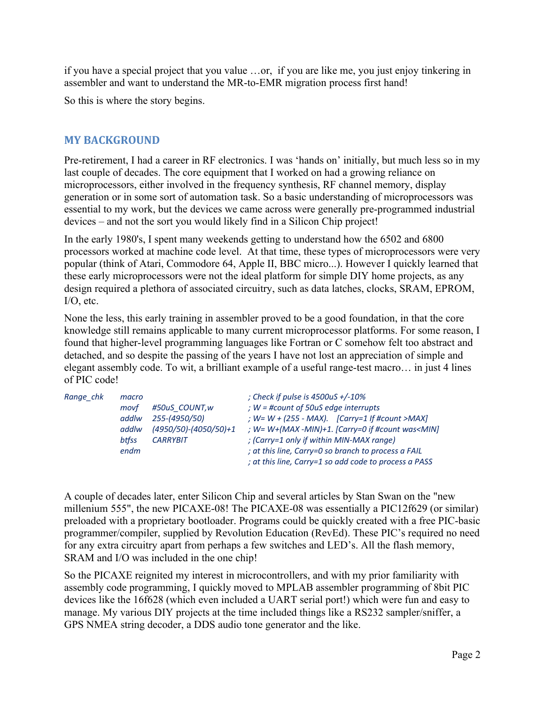if you have a special project that you value …or, if you are like me, you just enjoy tinkering in assembler and want to understand the MR-to-EMR migration process first hand!

So this is where the story begins.

#### **MY BACKGROUND**

Pre-retirement, I had a career in RF electronics. I was 'hands on' initially, but much less so in my last couple of decades. The core equipment that I worked on had a growing reliance on microprocessors, either involved in the frequency synthesis, RF channel memory, display generation or in some sort of automation task. So a basic understanding of microprocessors was essential to my work, but the devices we came across were generally pre-programmed industrial devices – and not the sort you would likely find in a Silicon Chip project!

In the early 1980's, I spent many weekends getting to understand how the 6502 and 6800 processors worked at machine code level. At that time, these types of microprocessors were very popular (think of Atari, Commodore 64, Apple II, BBC micro...). However I quickly learned that these early microprocessors were not the ideal platform for simple DIY home projects, as any design required a plethora of associated circuitry, such as data latches, clocks, SRAM, EPROM, I/O, etc.

None the less, this early training in assembler proved to be a good foundation, in that the core knowledge still remains applicable to many current microprocessor platforms. For some reason, I found that higher-level programming languages like Fortran or C somehow felt too abstract and detached, and so despite the passing of the years I have not lost an appreciation of simple and elegant assembly code. To wit, a brilliant example of a useful range-test macro… in just 4 lines of PIC code!

| Range chk | macro<br>movf<br>addlw | #50uS COUNT, w<br>255-(4950/50)            | ; Check if pulse is $4500uS + (-10\%)$<br>; $W = \text{\#count of } 50uS$ edge interrupts<br>; $W = W + (255 - MAX)$ . [Carry=1 If #count >MAX] |
|-----------|------------------------|--------------------------------------------|-------------------------------------------------------------------------------------------------------------------------------------------------|
|           | addlw<br>btfss         | $(4950/50)-(4050/50)+1$<br><b>CARRYBIT</b> | ; W= W+(MAX -MIN)+1. [Carry=0 if #count was <min]<br>; (Carry=1 only if within MIN-MAX range)</min]<br>                                         |
|           | endm                   |                                            | ; at this line, Carry=0 so branch to process a FAIL<br>; at this line, Carry=1 so add code to process a PASS                                    |

A couple of decades later, enter Silicon Chip and several articles by Stan Swan on the "new millenium 555", the new PICAXE-08! The PICAXE-08 was essentially a PIC12f629 (or similar) preloaded with a proprietary bootloader. Programs could be quickly created with a free PIC-basic programmer/compiler, supplied by Revolution Education (RevEd). These PIC's required no need for any extra circuitry apart from perhaps a few switches and LED's. All the flash memory, SRAM and I/O was included in the one chip!

So the PICAXE reignited my interest in microcontrollers, and with my prior familiarity with assembly code programming, I quickly moved to MPLAB assembler programming of 8bit PIC devices like the 16f628 (which even included a UART serial port!) which were fun and easy to manage. My various DIY projects at the time included things like a RS232 sampler/sniffer, a GPS NMEA string decoder, a DDS audio tone generator and the like.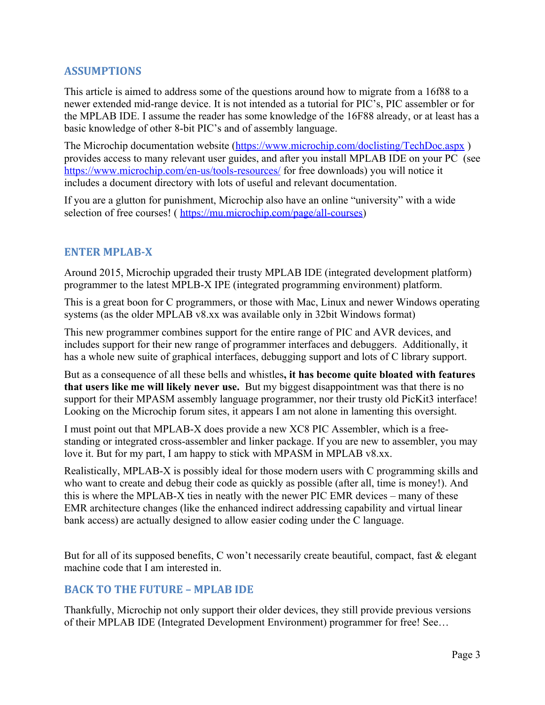#### **ASSUMPTIONS**

This article is aimed to address some of the questions around how to migrate from a 16f88 to a newer extended mid-range device. It is not intended as a tutorial for PIC's, PIC assembler or for the MPLAB IDE. I assume the reader has some knowledge of the 16F88 already, or at least has a basic knowledge of other 8-bit PIC's and of assembly language.

The Microchip documentation website ([https://www.microchip.com/doclisting/TechDoc.aspx](https://www.microchip.com/doclisting/TechDoc.aspx%20)) provides access to many relevant user guides, and after you install MPLAB IDE on your PC (see [https://www.microchip.com/en-us/tools-resources/](https://www.microchip.com/en-us/tools-resources/%20) for free downloads) you will notice it includes a document directory with lots of useful and relevant documentation.

If you are a glutton for punishment, Microchip also have an online "university" with a wide selection of free courses! ( [https://mu.microchip.com/page/all-courses\)](https://mu.microchip.com/page/all-courses)

#### **ENTER MPLAB-X**

Around 2015, Microchip upgraded their trusty MPLAB IDE (integrated development platform) programmer to the latest MPLB-X IPE (integrated programming environment) platform.

This is a great boon for C programmers, or those with Mac, Linux and newer Windows operating systems (as the older MPLAB v8.xx was available only in 32bit Windows format)

This new programmer combines support for the entire range of PIC and AVR devices, and includes support for their new range of programmer interfaces and debuggers. Additionally, it has a whole new suite of graphical interfaces, debugging support and lots of C library support.

But as a consequence of all these bells and whistles**, it has become quite bloated with features that users like me will likely never use.** But my biggest disappointment was that there is no support for their MPASM assembly language programmer, nor their trusty old PicKit3 interface! Looking on the Microchip forum sites, it appears I am not alone in lamenting this oversight.

I must point out that MPLAB-X does provide a new XC8 PIC Assembler, which is a freestanding or integrated cross-assembler and linker package. If you are new to assembler, you may love it. But for my part, I am happy to stick with MPASM in MPLAB v8.xx.

Realistically, MPLAB-X is possibly ideal for those modern users with C programming skills and who want to create and debug their code as quickly as possible (after all, time is money!). And this is where the MPLAB-X ties in neatly with the newer PIC EMR devices – many of these EMR architecture changes (like the enhanced indirect addressing capability and virtual linear bank access) are actually designed to allow easier coding under the C language.

But for all of its supposed benefits, C won't necessarily create beautiful, compact, fast & elegant machine code that I am interested in.

#### **BACK TO THE FUTURE – MPLAB IDE**

Thankfully, Microchip not only support their older devices, they still provide previous versions of their MPLAB IDE (Integrated Development Environment) programmer for free! See…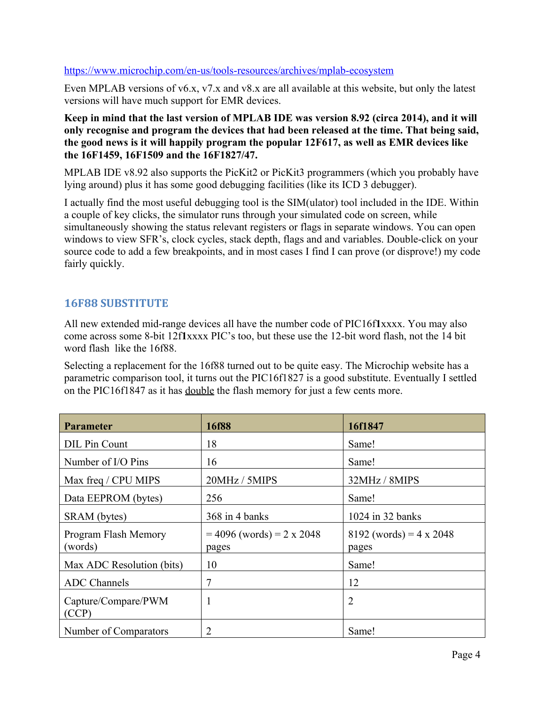#### <https://www.microchip.com/en-us/tools-resources/archives/mplab-ecosystem>

Even MPLAB versions of v6.x, v7.x and v8.x are all available at this website, but only the latest versions will have much support for EMR devices.

**Keep in mind that the last version of MPLAB IDE was version 8.92 (circa 2014), and it will only recognise and program the devices that had been released at the time. That being said, the good news is it will happily program the popular 12F617, as well as EMR devices like the 16F1459, 16F1509 and the 16F1827/47.**

MPLAB IDE v8.92 also supports the PicKit2 or PicKit3 programmers (which you probably have lying around) plus it has some good debugging facilities (like its ICD 3 debugger).

I actually find the most useful debugging tool is the SIM(ulator) tool included in the IDE. Within a couple of key clicks, the simulator runs through your simulated code on screen, while simultaneously showing the status relevant registers or flags in separate windows. You can open windows to view SFR's, clock cycles, stack depth, flags and and variables. Double-click on your source code to add a few breakpoints, and in most cases I find I can prove (or disprove!) my code fairly quickly.

#### **16F88 SUBSTITUTE**

All new extended mid-range devices all have the number code of PIC16f**1**xxxx. You may also come across some 8-bit 12f**1**xxxx PIC's too, but these use the 12-bit word flash, not the 14 bit word flash like the 16f88.

Selecting a replacement for the 16f88 turned out to be quite easy. The Microchip website has a parametric comparison tool, it turns out the PIC16f1827 is a good substitute. Eventually I settled on the PIC16f1847 as it has double the flash memory for just a few cents more.

| <b>Parameter</b>                | 16f88                                | 16f1847                            |
|---------------------------------|--------------------------------------|------------------------------------|
| DIL Pin Count                   | 18                                   | Same!                              |
| Number of I/O Pins              | 16                                   | Same!                              |
| Max freq / CPU MIPS             | 20MHz / 5MIPS                        | 32MHz / 8MIPS                      |
| Data EEPROM (bytes)             | 256                                  | Same!                              |
| SRAM (bytes)                    | $368$ in 4 banks                     | 1024 in 32 banks                   |
| Program Flash Memory<br>(words) | $= 4096$ (words) = 2 x 2048<br>pages | $8192$ (words) = 4 x 2048<br>pages |
| Max ADC Resolution (bits)       | 10                                   | Same!                              |
| <b>ADC</b> Channels             | 7                                    | 12                                 |
| Capture/Compare/PWM<br>(CCP)    | 1                                    | $\overline{2}$                     |
| Number of Comparators           | 2                                    | Same!                              |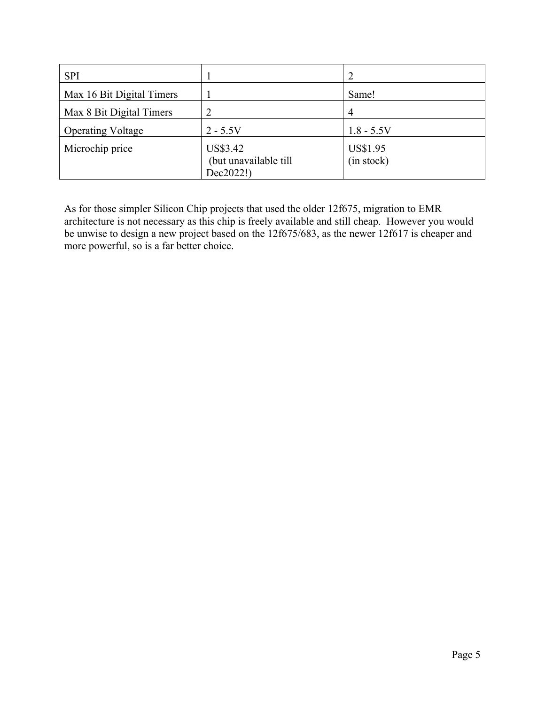| <b>SPI</b>                |                                                |                        |
|---------------------------|------------------------------------------------|------------------------|
| Max 16 Bit Digital Timers |                                                | Same!                  |
| Max 8 Bit Digital Timers  | 2                                              | 4                      |
| <b>Operating Voltage</b>  | $2 - 5.5V$                                     | $1.8 - 5.5V$           |
| Microchip price           | US\$3.42<br>(but unavailable till<br>Dec2022!) | US\$1.95<br>(in stock) |

As for those simpler Silicon Chip projects that used the older 12f675, migration to EMR architecture is not necessary as this chip is freely available and still cheap. However you would be unwise to design a new project based on the 12f675/683, as the newer 12f617 is cheaper and more powerful, so is a far better choice.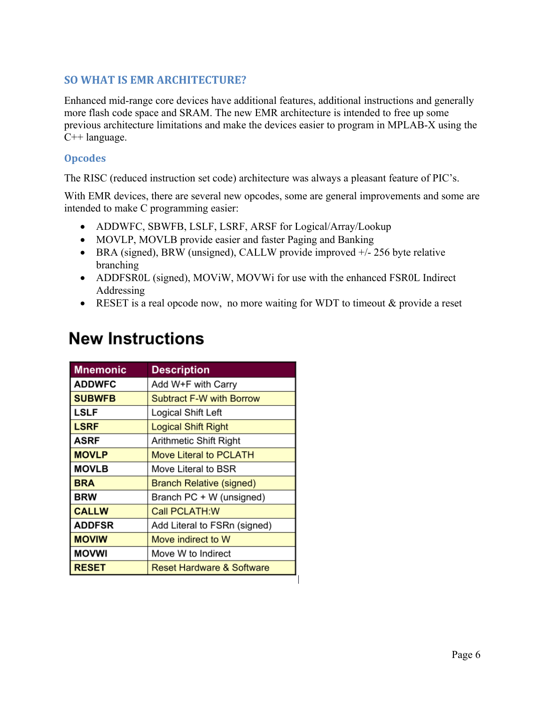#### **SO WHAT IS EMR ARCHITECTURE?**

Enhanced mid-range core devices have additional features, additional instructions and generally more flash code space and SRAM. The new EMR architecture is intended to free up some previous architecture limitations and make the devices easier to program in MPLAB-X using the C++ language.

#### **Opcodes**

The RISC (reduced instruction set code) architecture was always a pleasant feature of PIC's.

With EMR devices, there are several new opcodes, some are general improvements and some are intended to make C programming easier:

- ADDWFC, SBWFB, LSLF, LSRF, ARSF for Logical/Array/Lookup
- MOVLP, MOVLB provide easier and faster Paging and Banking
- BRA (signed), BRW (unsigned), CALLW provide improved  $+/- 256$  byte relative branching
- ADDFSR0L (signed), MOViW, MOVWi for use with the enhanced FSR0L Indirect Addressing
- RESET is a real opcode now, no more waiting for WDT to timeout & provide a reset

| <b>Mnemonic</b> | <b>Description</b>                   |
|-----------------|--------------------------------------|
| <b>ADDWFC</b>   | Add W+F with Carry                   |
| <b>SUBWFB</b>   | <b>Subtract F-W with Borrow</b>      |
| <b>LSLF</b>     | Logical Shift Left                   |
| <b>LSRF</b>     | <b>Logical Shift Right</b>           |
| <b>ASRF</b>     | Arithmetic Shift Right               |
| <b>MOVLP</b>    | <b>Move Literal to PCLATH</b>        |
| <b>MOVLB</b>    | Move Literal to BSR                  |
| <b>BRA</b>      | <b>Branch Relative (signed)</b>      |
| <b>BRW</b>      | Branch PC + W (unsigned)             |
| <b>CALLW</b>    | <b>Call PCLATH:W</b>                 |
| <b>ADDFSR</b>   | Add Literal to FSRn (signed)         |
| <b>MOVIW</b>    | Move indirect to W                   |
| <b>MOVWI</b>    | Move W to Indirect                   |
| <b>RESET</b>    | <b>Reset Hardware &amp; Software</b> |

## **New Instructions**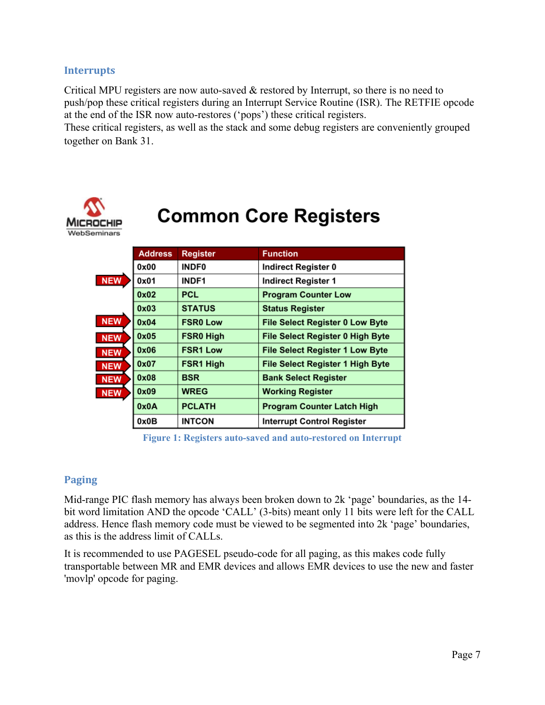#### **Interrupts**

Critical MPU registers are now auto-saved & restored by Interrupt, so there is no need to push/pop these critical registers during an Interrupt Service Routine (ISR). The RETFIE opcode at the end of the ISR now auto-restores ('pops') these critical registers.

These critical registers, as well as the stack and some debug registers are conveniently grouped together on Bank 31.



# **Common Core Registers**

|            | <b>Address</b> | <b>Register</b> | <b>Function</b>                        |
|------------|----------------|-----------------|----------------------------------------|
|            | 0x00           | <b>INDF0</b>    | Indirect Register 0                    |
| <b>NEW</b> | 0x01           | <b>INDF1</b>    | <b>Indirect Register 1</b>             |
|            | 0x02           | PCL             | <b>Program Counter Low</b>             |
|            | 0x03           | <b>STATUS</b>   | <b>Status Register</b>                 |
| <b>NEW</b> | 0x04           | <b>FSR0 Low</b> | File Select Register 0 Low Byte        |
| <b>NEW</b> | 0x05           | FSR0 High       | File Select Register 0 High Byte       |
| <b>NEW</b> | 0x06           | <b>FSR1 Low</b> | <b>File Select Register 1 Low Byte</b> |
| <b>NEW</b> | 0x07           | FSR1 High       | File Select Register 1 High Byte       |
| <b>NEW</b> | 0x08           | <b>BSR</b>      | <b>Bank Select Register</b>            |
| <b>NEW</b> | 0x09           | <b>WREG</b>     | <b>Working Register</b>                |
|            | 0x0A           | <b>PCLATH</b>   | <b>Program Counter Latch High</b>      |
|            | 0x0B           | <b>INTCON</b>   | <b>Interrupt Control Register</b>      |

**Figure 1: Registers auto-saved and auto-restored on Interrupt**

#### **Paging**

Mid-range PIC flash memory has always been broken down to 2k 'page' boundaries, as the 14 bit word limitation AND the opcode 'CALL' (3-bits) meant only 11 bits were left for the CALL address. Hence flash memory code must be viewed to be segmented into 2k 'page' boundaries, as this is the address limit of CALLs.

It is recommended to use PAGESEL pseudo-code for all paging, as this makes code fully transportable between MR and EMR devices and allows EMR devices to use the new and faster 'movlp' opcode for paging.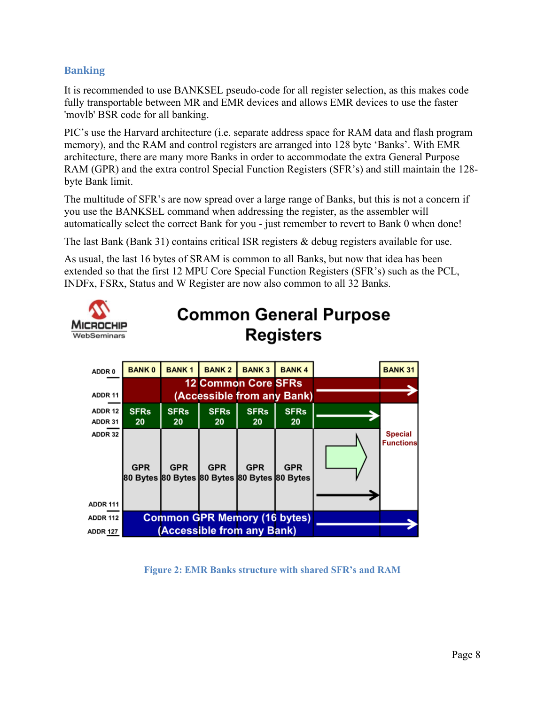#### **Banking**

It is recommended to use BANKSEL pseudo-code for all register selection, as this makes code fully transportable between MR and EMR devices and allows EMR devices to use the faster 'movlb' BSR code for all banking.

PIC's use the Harvard architecture (i.e. separate address space for RAM data and flash program memory), and the RAM and control registers are arranged into 128 byte 'Banks'. With EMR architecture, there are many more Banks in order to accommodate the extra General Purpose RAM (GPR) and the extra control Special Function Registers (SFR's) and still maintain the 128 byte Bank limit.

The multitude of SFR's are now spread over a large range of Banks, but this is not a concern if you use the BANKSEL command when addressing the register, as the assembler will automatically select the correct Bank for you - just remember to revert to Bank 0 when done!

The last Bank (Bank 31) contains critical ISR registers & debug registers available for use.

As usual, the last 16 bytes of SRAM is common to all Banks, but now that idea has been extended so that the first 12 MPU Core Special Function Registers (SFR's) such as the PCL, INDFx, FSRx, Status and W Register are now also common to all 32 Banks.



## **Common General Purpose Registers**

| ADDR <sub>0</sub>          | <b>BANK0</b>                                               | <b>BANK1</b> | <b>BANK2</b>                        | <b>BANK3</b> | <b>BANK4</b>               | <b>BANK 31</b>                     |
|----------------------------|------------------------------------------------------------|--------------|-------------------------------------|--------------|----------------------------|------------------------------------|
|                            |                                                            |              | <b>12 Common Core SFRs</b>          |              |                            |                                    |
| ADDR 11                    |                                                            |              |                                     |              | (Accessible from any Bank) |                                    |
| ADDR 12                    | <b>SFRs</b>                                                | <b>SFRs</b>  | <b>SFRs</b>                         | <b>SFRs</b>  | <b>SFRs</b>                |                                    |
| ADDR 31                    | 20                                                         | 20           | 20                                  | 20           | 20                         |                                    |
| ADDR 32<br><b>ADDR 111</b> | <b>GPR</b><br>80 Bytes 80 Bytes 80 Bytes 80 Bytes 80 Bytes | <b>GPR</b>   | <b>GPR</b>                          | <b>GPR</b>   | <b>GPR</b>                 | <b>Special</b><br><b>Functions</b> |
| <b>ADDR 112</b>            |                                                            |              | <b>Common GPR Memory (16 bytes)</b> |              |                            |                                    |
| <b>ADDR 127</b>            |                                                            |              | (Accessible from any Bank)          |              |                            |                                    |

**Figure 2: EMR Banks structure with shared SFR's and RAM**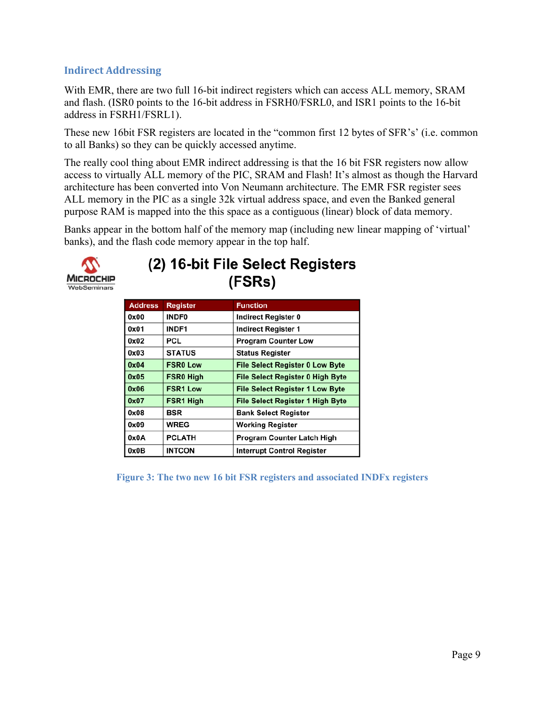#### **Indirect Addressing**

With EMR, there are two full 16-bit indirect registers which can access ALL memory, SRAM and flash. (ISR0 points to the 16-bit address in FSRH0/FSRL0, and ISR1 points to the 16-bit address in FSRH1/FSRL1).

These new 16bit FSR registers are located in the "common first 12 bytes of SFR's' (i.e. common to all Banks) so they can be quickly accessed anytime.

The really cool thing about EMR indirect addressing is that the 16 bit FSR registers now allow access to virtually ALL memory of the PIC, SRAM and Flash! It's almost as though the Harvard architecture has been converted into Von Neumann architecture. The EMR FSR register sees ALL memory in the PIC as a single 32k virtual address space, and even the Banked general purpose RAM is mapped into the this space as a contiguous (linear) block of data memory.

Banks appear in the bottom half of the memory map (including new linear mapping of 'virtual' banks), and the flash code memory appear in the top half.



### (2) 16-bit File Select Registers (FSRs)

| <b>Address</b> | <b>Register</b>  | <b>Function</b>                         |
|----------------|------------------|-----------------------------------------|
| 0x00           | <b>INDF0</b>     | Indirect Register 0                     |
| 0x01           | <b>INDF1</b>     | <b>Indirect Register 1</b>              |
| 0x02           | PCL              | <b>Program Counter Low</b>              |
| 0x03           | <b>STATUS</b>    | <b>Status Register</b>                  |
| 0x04           | <b>FSR0 Low</b>  | <b>File Select Register 0 Low Byte</b>  |
| 0x05           | <b>FSR0 High</b> | <b>File Select Register 0 High Byte</b> |
| 0x06           | <b>FSR1 Low</b>  | <b>File Select Register 1 Low Byte</b>  |
| 0x07           | FSR1 High        | <b>File Select Register 1 High Byte</b> |
| 0x08           | BSR              | <b>Bank Select Register</b>             |
| 0x09           | WREG             | <b>Working Register</b>                 |
| 0x0A           | <b>PCLATH</b>    | <b>Program Counter Latch High</b>       |
| 0x0B           | <b>INTCON</b>    | <b>Interrupt Control Register</b>       |

**Figure 3: The two new 16 bit FSR registers and associated INDFx registers**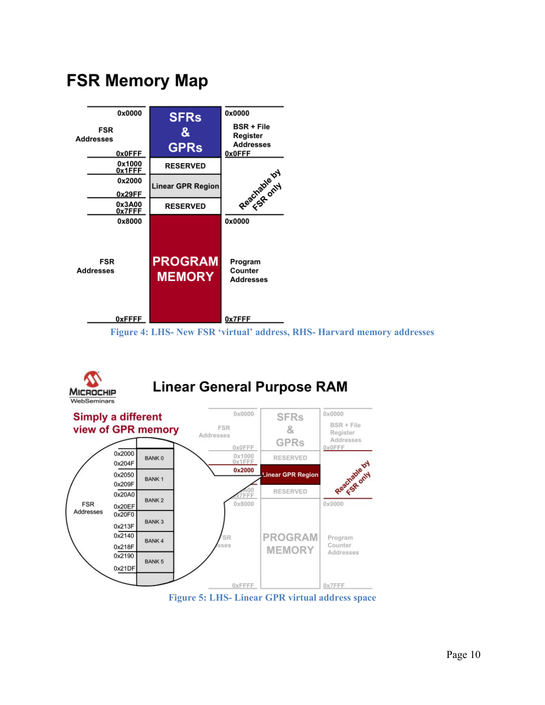

**FSR Memory Map** 

#### **Figure 4: LHS- New FSR 'virtual' address, RHS- Harvard memory addresses**



### **Linear General Purpose RAM**



**Figure 5: LHS- Linear GPR virtual address space**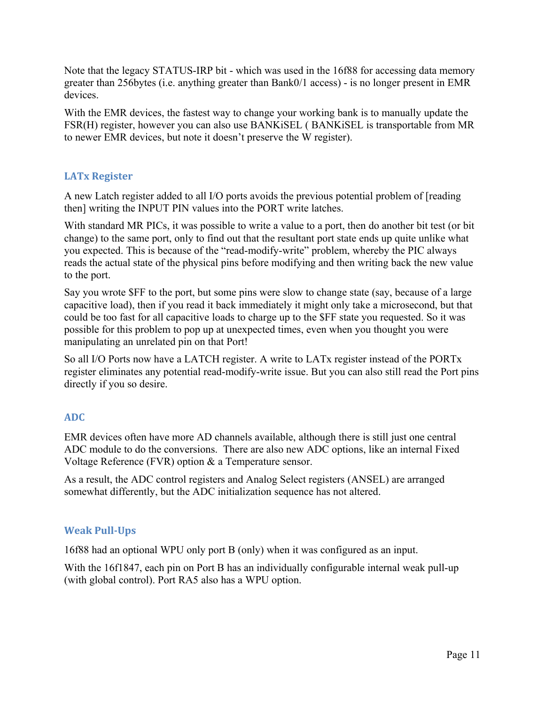Note that the legacy STATUS-IRP bit - which was used in the 16f88 for accessing data memory greater than 256bytes (i.e. anything greater than Bank0/1 access) - is no longer present in EMR devices.

With the EMR devices, the fastest way to change your working bank is to manually update the FSR(H) register, however you can also use BANKiSEL ( BANKiSEL is transportable from MR to newer EMR devices, but note it doesn't preserve the W register).

#### **LATx Register**

A new Latch register added to all I/O ports avoids the previous potential problem of [reading then] writing the INPUT PIN values into the PORT write latches.

With standard MR PICs, it was possible to write a value to a port, then do another bit test (or bit change) to the same port, only to find out that the resultant port state ends up quite unlike what you expected. This is because of the "read-modify-write" problem, whereby the PIC always reads the actual state of the physical pins before modifying and then writing back the new value to the port.

Say you wrote \$FF to the port, but some pins were slow to change state (say, because of a large capacitive load), then if you read it back immediately it might only take a microsecond, but that could be too fast for all capacitive loads to charge up to the \$FF state you requested. So it was possible for this problem to pop up at unexpected times, even when you thought you were manipulating an unrelated pin on that Port!

So all I/O Ports now have a LATCH register. A write to LATx register instead of the PORTx register eliminates any potential read-modify-write issue. But you can also still read the Port pins directly if you so desire.

#### **ADC**

EMR devices often have more AD channels available, although there is still just one central ADC module to do the conversions. There are also new ADC options, like an internal Fixed Voltage Reference (FVR) option & a Temperature sensor.

As a result, the ADC control registers and Analog Select registers (ANSEL) are arranged somewhat differently, but the ADC initialization sequence has not altered.

#### **Weak Pull-Ups**

16f88 had an optional WPU only port B (only) when it was configured as an input.

With the 16f1847, each pin on Port B has an individually configurable internal weak pull-up (with global control). Port RA5 also has a WPU option.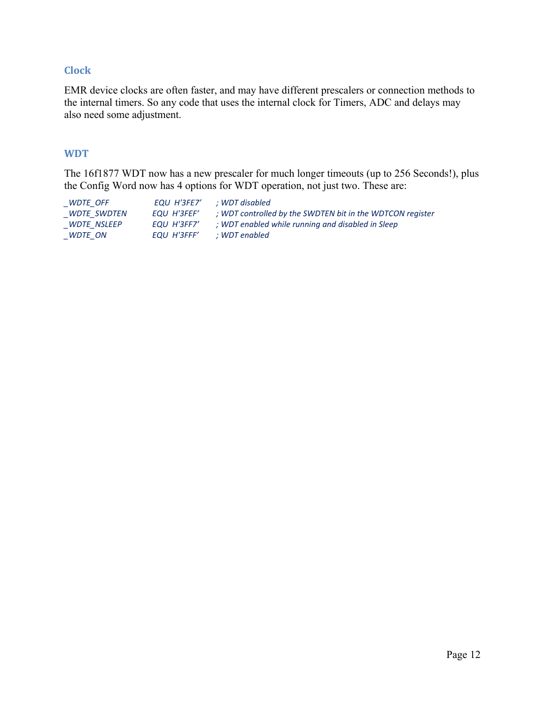#### **Clock**

EMR device clocks are often faster, and may have different prescalers or connection methods to the internal timers. So any code that uses the internal clock for Timers, ADC and delays may also need some adjustment.

#### **WDT**

The 16f1877 WDT now has a new prescaler for much longer timeouts (up to 256 Seconds!), plus the Config Word now has 4 options for WDT operation, not just two. These are:

| WDTE OFF    | EQU H'3FE7' | : WDT disabled                                            |
|-------------|-------------|-----------------------------------------------------------|
| WDTE SWDTEN | EQU H'3FEF' | ; WDT controlled by the SWDTEN bit in the WDTCON register |
| WDTE NSLEEP | EOU H'3FF7' | ; WDT enabled while running and disabled in Sleep         |
| $_WDTE_ON$  | EQU H'3FFF' | : WDT enabled                                             |
|             |             |                                                           |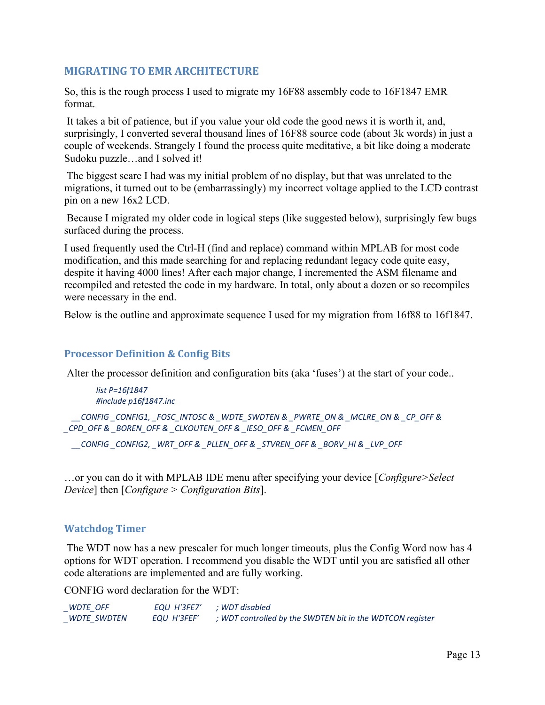#### **MIGRATING TO EMR ARCHITECTURE**

So, this is the rough process I used to migrate my 16F88 assembly code to 16F1847 EMR format.

 It takes a bit of patience, but if you value your old code the good news it is worth it, and, surprisingly, I converted several thousand lines of 16F88 source code (about 3k words) in just a couple of weekends. Strangely I found the process quite meditative, a bit like doing a moderate Sudoku puzzle…and I solved it!

 The biggest scare I had was my initial problem of no display, but that was unrelated to the migrations, it turned out to be (embarrassingly) my incorrect voltage applied to the LCD contrast pin on a new 16x2 LCD.

 Because I migrated my older code in logical steps (like suggested below), surprisingly few bugs surfaced during the process.

I used frequently used the Ctrl-H (find and replace) command within MPLAB for most code modification, and this made searching for and replacing redundant legacy code quite easy, despite it having 4000 lines! After each major change, I incremented the ASM filename and recompiled and retested the code in my hardware. In total, only about a dozen or so recompiles were necessary in the end.

Below is the outline and approximate sequence I used for my migration from 16f88 to 16f1847.

#### **Processor Definition & Config Bits**

Alter the processor definition and configuration bits (aka 'fuses') at the start of your code..

```
list P=16f1847
#include p16f1847.inc
```
 *\_\_CONFIG \_CONFIG1, \_FOSC\_INTOSC & \_WDTE\_SWDTEN & \_PWRTE\_ON & \_MCLRE\_ON & \_CP\_OFF & \_CPD\_OFF & \_BOREN\_OFF & \_CLKOUTEN\_OFF & \_IESO\_OFF & \_FCMEN\_OFF*

 *\_\_CONFIG \_CONFIG2, \_WRT\_OFF & \_PLLEN\_OFF & \_STVREN\_OFF & \_BORV\_HI & \_LVP\_OFF*

…or you can do it with MPLAB IDE menu after specifying your device [*Configure>Select Device*] then [*Configure > Configuration Bits*].

#### **Watchdog Timer**

 The WDT now has a new prescaler for much longer timeouts, plus the Config Word now has 4 options for WDT operation. I recommend you disable the WDT until you are satisfied all other code alterations are implemented and are fully working.

CONFIG word declaration for the WDT:

| WDTE OFF    | EQU H'3FE7' | ; WDT disabled                                            |
|-------------|-------------|-----------------------------------------------------------|
| WDTE SWDTEN | EQU H'3FEF' | ; WDT controlled by the SWDTEN bit in the WDTCON register |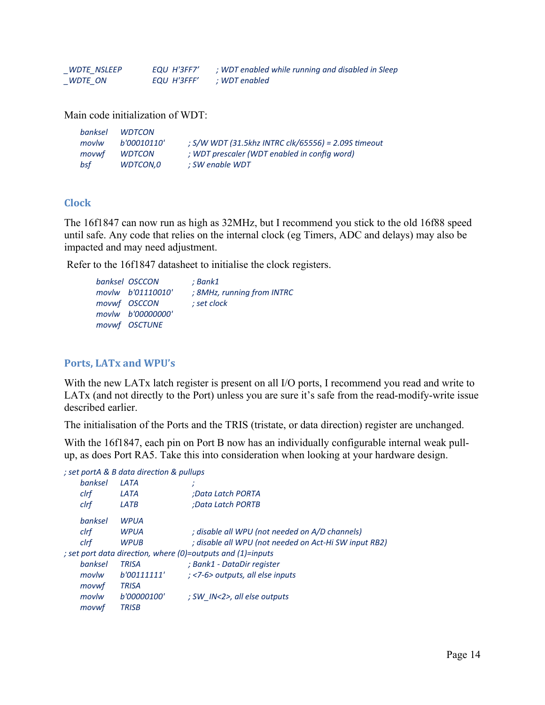| <b>WDTE NSLEEP</b> | EOU H'3FF7' | ; WDT enabled while running and disabled in Sleep |
|--------------------|-------------|---------------------------------------------------|
| WDTE ON            | EQU H'3FFF' | : WDT enabled                                     |

Main code initialization of WDT:

| banksel | <b>WDTCON</b> |                                                     |
|---------|---------------|-----------------------------------------------------|
| movlw   | b'00010110'   | ; S/W WDT (31.5khz INTRC clk/65556) = 2.09S timeout |
| movwf   | <i>WDTCON</i> | ; WDT prescaler (WDT enabled in config word)        |
| bsf     | WDTCON.0      | ; SW enable WDT                                     |

#### **Clock**

The 16f1847 can now run as high as 32MHz, but I recommend you stick to the old 16f88 speed until safe. Any code that relies on the internal clock (eg Timers, ADC and delays) may also be impacted and may need adjustment.

Refer to the 16f1847 datasheet to initialise the clock registers.

| banksel OSCCON    | ; Bank1                    |
|-------------------|----------------------------|
| movlw b'01110010' | ; 8MHz, running from INTRC |
| movwf OSCCON      | ; set clock                |
| movlw b'00000000' |                            |
| movwf OSCTUNE     |                            |

#### **Ports, LATx and WPU's**

With the new LATx latch register is present on all I/O ports, I recommend you read and write to LATx (and not directly to the Port) unless you are sure it's safe from the read-modify-write issue described earlier.

The initialisation of the Ports and the TRIS (tristate, or data direction) register are unchanged.

With the 16f1847, each pin on Port B now has an individually configurable internal weak pullup, as does Port RA5. Take this into consideration when looking at your hardware design.

| ; set portA & B data direction & pullups                    |         |              |                                                       |  |  |  |
|-------------------------------------------------------------|---------|--------------|-------------------------------------------------------|--|--|--|
|                                                             | hanksel | <b>IATA</b>  |                                                       |  |  |  |
| clrf                                                        |         | LATA         | Data Latch PORTA:                                     |  |  |  |
| clrf                                                        |         | LATB         | :Data Latch PORTB                                     |  |  |  |
|                                                             | hanksel | WPUA         |                                                       |  |  |  |
| clrf                                                        |         | <b>WPUA</b>  | ; disable all WPU (not needed on A/D channels)        |  |  |  |
| clrf                                                        |         | <b>WPUB</b>  | ; disable all WPU (not needed on Act-Hi SW input RB2) |  |  |  |
| ; set port data direction, where (0)=outputs and (1)=inputs |         |              |                                                       |  |  |  |
|                                                             | banksel | <b>TRISA</b> | ; Bank1 - DataDir register                            |  |  |  |
|                                                             | movlw   | b'00111111'  | : <7-6> outputs, all else inputs                      |  |  |  |
|                                                             | movwf   | <b>TRISA</b> |                                                       |  |  |  |
|                                                             | movlw   | b'00000100'  | : SW IN<2>, all else outputs                          |  |  |  |
|                                                             | movwf   | <b>TRISB</b> |                                                       |  |  |  |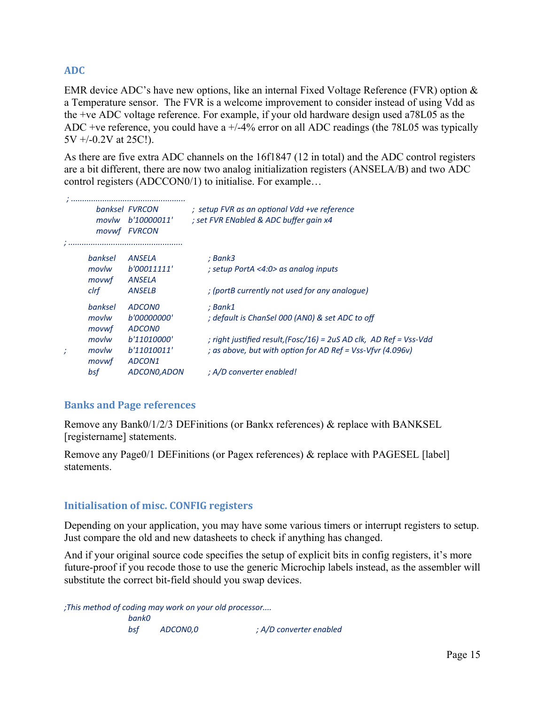#### **ADC**

EMR device ADC's have new options, like an internal Fixed Voltage Reference (FVR) option & a Temperature sensor. The FVR is a welcome improvement to consider instead of using Vdd as the +ve ADC voltage reference. For example, if your old hardware design used a78L05 as the ADC +ve reference, you could have a +/-4% error on all ADC readings (the 78L05 was typically 5V +/-0.2V at 25C!).

As there are five extra ADC channels on the 16f1847 (12 in total) and the ADC control registers are a bit different, there are now two analog initialization registers (ANSELA/B) and two ADC control registers (ADCCON0/1) to initialise. For example…

|         | banksel FVRCON | ; setup FVR as an optional Vdd +ve reference                       |
|---------|----------------|--------------------------------------------------------------------|
| movlw   | b'10000011'    | ; set FVR ENabled & ADC buffer gain x4                             |
|         | movwf FVRCON   |                                                                    |
|         |                |                                                                    |
| banksel | <b>ANSELA</b>  | ; Bank3                                                            |
| movlw   | b'00011111'    | ; setup PortA <4:0> as analog inputs                               |
| movwf   | ANSELA         |                                                                    |
| clrf    | <b>ANSELB</b>  | : (portB currently not used for any analogue)                      |
| banksel | <b>ADCONO</b>  | ; Bank1                                                            |
| movlw   | b'00000000'    | ; default is ChanSel 000 (ANO) & set ADC to off                    |
| movwf   | <b>ADCONO</b>  |                                                                    |
| movlw   | b'11010000'    | ; right justified result, (Fosc/16) = 2uS AD clk, AD Ref = Vss-Vdd |
| movlw   | b'11010011'    | ; as above, but with option for AD Ref = Vss-Vfvr (4.096v)         |
| movwf   | ADCON1         |                                                                    |
| bsf     | ADCON0, ADON   | ; A/D converter enabled!                                           |
|         |                |                                                                    |

#### **Banks and Page references**

Remove any Bank0/1/2/3 DEFinitions (or Bankx references) & replace with BANKSEL [registername] statements.

Remove any Page0/1 DEFinitions (or Pagex references) & replace with PAGESEL [label] statements.

#### **Initialisation of misc. CONFIG registers**

Depending on your application, you may have some various timers or interrupt registers to setup. Just compare the old and new datasheets to check if anything has changed.

And if your original source code specifies the setup of explicit bits in config registers, it's more future-proof if you recode those to use the generic Microchip labels instead, as the assembler will substitute the correct bit-field should you swap devices.

*;This method of coding may work on your old processor.... bank0 bsf ADCON0,0 ; A/D converter enabled*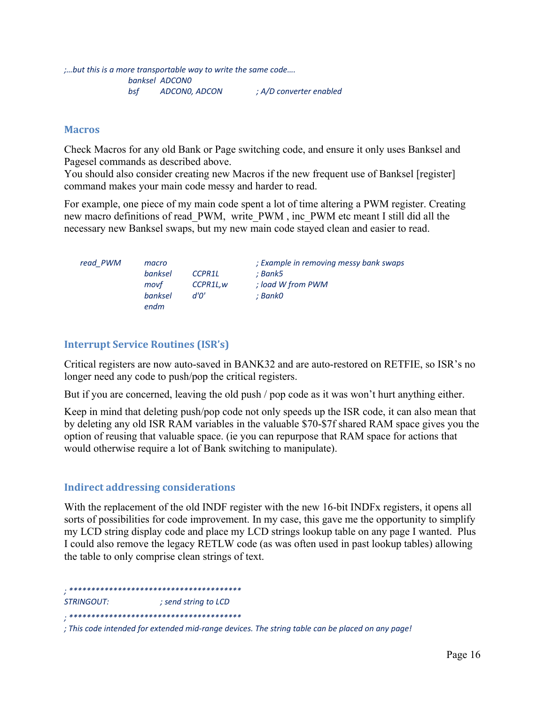#### **Macros**

Check Macros for any old Bank or Page switching code, and ensure it only uses Banksel and Pagesel commands as described above.

You should also consider creating new Macros if the new frequent use of Banksel [register] command makes your main code messy and harder to read.

For example, one piece of my main code spent a lot of time altering a PWM register. Creating new macro definitions of read\_PWM, write\_PWM , inc\_PWM etc meant I still did all the necessary new Banksel swaps, but my new main code stayed clean and easier to read.

| read PWM | macro   |          | ; Example in removing messy bank swaps |
|----------|---------|----------|----------------------------------------|
|          | banksel | CCPR1L   | : Bank5                                |
|          | movf    | CCPR1L.w | : load W from PWM                      |
|          | banksel | d'0'     | ; Bank0                                |
|          | endm    |          |                                        |

#### **Interrupt Service Routines (ISR's)**

Critical registers are now auto-saved in BANK32 and are auto-restored on RETFIE, so ISR's no longer need any code to push/pop the critical registers.

But if you are concerned, leaving the old push / pop code as it was won't hurt anything either.

Keep in mind that deleting push/pop code not only speeds up the ISR code, it can also mean that by deleting any old ISR RAM variables in the valuable \$70-\$7f shared RAM space gives you the option of reusing that valuable space. (ie you can repurpose that RAM space for actions that would otherwise require a lot of Bank switching to manipulate).

#### **Indirect addressing considerations**

With the replacement of the old INDF register with the new 16-bit INDFx registers, it opens all sorts of possibilities for code improvement. In my case, this gave me the opportunity to simplify my LCD string display code and place my LCD strings lookup table on any page I wanted. Plus I could also remove the legacy RETLW code (as was often used in past lookup tables) allowing the table to only comprise clean strings of text.

*; \*\*\*\*\*\*\*\*\*\*\*\*\*\*\*\*\*\*\*\*\*\*\*\*\*\*\*\*\*\*\*\*\*\*\*\*\*\*\**

*STRINGOUT: ; send string to LCD*

*<sup>; \*\*\*\*\*\*\*\*\*\*\*\*\*\*\*\*\*\*\*\*\*\*\*\*\*\*\*\*\*\*\*\*\*\*\*\*\*\*\*</sup>*

*<sup>;</sup> This code intended for extended mid-range devices. The string table can be placed on any page!*